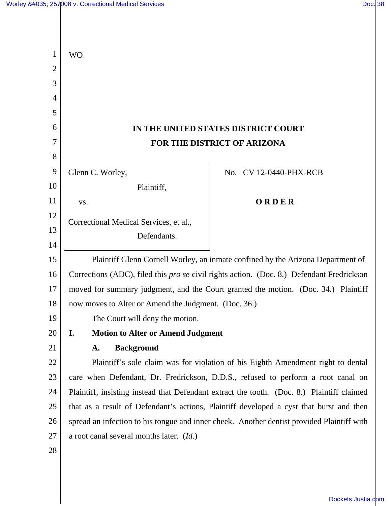| 1              | <b>WO</b>                                                                                        |                        |
|----------------|--------------------------------------------------------------------------------------------------|------------------------|
| $\overline{2}$ |                                                                                                  |                        |
| 3              |                                                                                                  |                        |
| $\overline{4}$ |                                                                                                  |                        |
| 5              |                                                                                                  |                        |
| 6              | IN THE UNITED STATES DISTRICT COURT                                                              |                        |
| 7              | FOR THE DISTRICT OF ARIZONA                                                                      |                        |
| 8              |                                                                                                  |                        |
| 9              | Glenn C. Worley,                                                                                 | No. CV 12-0440-PHX-RCB |
| 10             | Plaintiff,                                                                                       |                        |
| 11             | VS.                                                                                              | ORDER                  |
| 12             | Correctional Medical Services, et al.,                                                           |                        |
| 13             | Defendants.                                                                                      |                        |
| 14             |                                                                                                  |                        |
| 15             | Plaintiff Glenn Cornell Worley, an inmate confined by the Arizona Department of                  |                        |
| 16             | Corrections (ADC), filed this <i>pro se</i> civil rights action. (Doc. 8.) Defendant Fredrickson |                        |
| 17             | moved for summary judgment, and the Court granted the motion. (Doc. 34.) Plaintiff               |                        |
| 18             | now moves to Alter or Amend the Judgment. (Doc. 36.)                                             |                        |
| 19             | The Court will deny the motion.                                                                  |                        |
| 20             | I.<br><b>Motion to Alter or Amend Judgment</b>                                                   |                        |
| 21             | <b>Background</b><br>A.                                                                          |                        |
| 22             | Plaintiff's sole claim was for violation of his Eighth Amendment right to dental                 |                        |
| 23             | care when Defendant, Dr. Fredrickson, D.D.S., refused to perform a root canal on                 |                        |
| 24             | Plaintiff, insisting instead that Defendant extract the tooth. (Doc. 8.) Plaintiff claimed       |                        |
| 25             | that as a result of Defendant's actions, Plaintiff developed a cyst that burst and then          |                        |
| 26             | spread an infection to his tongue and inner cheek. Another dentist provided Plaintiff with       |                        |
| 27             | a root canal several months later. $(Id.)$                                                       |                        |
| 28             |                                                                                                  |                        |

[Dockets.Justia.com](http://dockets.justia.com/)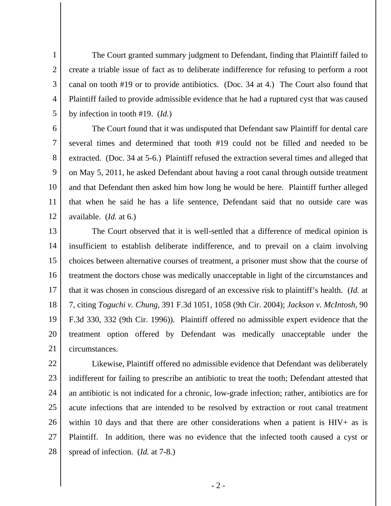The Court granted summary judgment to Defendant, finding that Plaintiff failed to create a triable issue of fact as to deliberate indifference for refusing to perform a root canal on tooth #19 or to provide antibiotics. (Doc. 34 at 4.) The Court also found that Plaintiff failed to provide admissible evidence that he had a ruptured cyst that was caused by infection in tooth #19. (*Id.*)

1

2

3

4

5

6 7 8 9 10 11 12 The Court found that it was undisputed that Defendant saw Plaintiff for dental care several times and determined that tooth #19 could not be filled and needed to be extracted. (Doc. 34 at 5-6.) Plaintiff refused the extraction several times and alleged that on May 5, 2011, he asked Defendant about having a root canal through outside treatment and that Defendant then asked him how long he would be here. Plaintiff further alleged that when he said he has a life sentence, Defendant said that no outside care was available. (*Id.* at 6.)

13 14 15 16 17 18 19 20 21 The Court observed that it is well-settled that a difference of medical opinion is insufficient to establish deliberate indifference, and to prevail on a claim involving choices between alternative courses of treatment, a prisoner must show that the course of treatment the doctors chose was medically unacceptable in light of the circumstances and that it was chosen in conscious disregard of an excessive risk to plaintiff's health. (*Id.* at 7, citing *Toguchi v. Chung*, 391 F.3d 1051, 1058 (9th Cir. 2004); *Jackson v. McIntosh*, 90 F.3d 330, 332 (9th Cir. 1996)). Plaintiff offered no admissible expert evidence that the treatment option offered by Defendant was medically unacceptable under the circumstances.

22 23 24 25 26 27 28 Likewise, Plaintiff offered no admissible evidence that Defendant was deliberately indifferent for failing to prescribe an antibiotic to treat the tooth; Defendant attested that an antibiotic is not indicated for a chronic, low-grade infection; rather, antibiotics are for acute infections that are intended to be resolved by extraction or root canal treatment within 10 days and that there are other considerations when a patient is HIV+ as is Plaintiff. In addition, there was no evidence that the infected tooth caused a cyst or spread of infection. (*Id.* at 7-8.)

- 2 -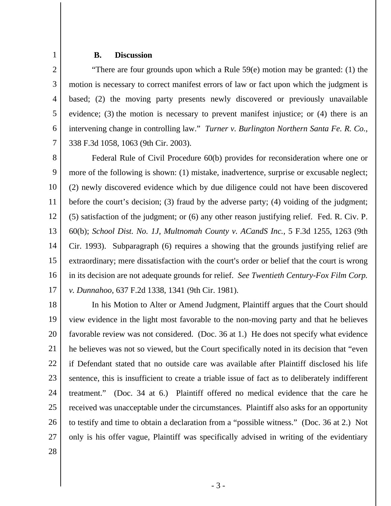## 1

## **B. Discussion**

2 3 4 5 6 7 "There are four grounds upon which a Rule 59(e) motion may be granted: (1) the motion is necessary to correct manifest errors of law or fact upon which the judgment is based; (2) the moving party presents newly discovered or previously unavailable evidence; (3) the motion is necessary to prevent manifest injustice; or (4) there is an intervening change in controlling law." *Turner v. Burlington Northern Santa Fe. R. Co.*, 338 F.3d 1058, 1063 (9th Cir. 2003).

8 9 10 11 12 13 14 15 16 17 Federal Rule of Civil Procedure 60(b) provides for reconsideration where one or more of the following is shown: (1) mistake, inadvertence, surprise or excusable neglect; (2) newly discovered evidence which by due diligence could not have been discovered before the court's decision; (3) fraud by the adverse party; (4) voiding of the judgment; (5) satisfaction of the judgment; or (6) any other reason justifying relief. Fed. R. Civ. P. 60(b); *School Dist. No. 1J, Multnomah County v. ACandS Inc.*, 5 F.3d 1255, 1263 (9th Cir. 1993). Subparagraph (6) requires a showing that the grounds justifying relief are extraordinary; mere dissatisfaction with the court's order or belief that the court is wrong in its decision are not adequate grounds for relief. *See Twentieth Century-Fox Film Corp. v. Dunnahoo*, 637 F.2d 1338, 1341 (9th Cir. 1981).

18 19 20 21 22 23 24 25 26 27 In his Motion to Alter or Amend Judgment, Plaintiff argues that the Court should view evidence in the light most favorable to the non-moving party and that he believes favorable review was not considered. (Doc. 36 at 1.) He does not specify what evidence he believes was not so viewed, but the Court specifically noted in its decision that "even if Defendant stated that no outside care was available after Plaintiff disclosed his life sentence, this is insufficient to create a triable issue of fact as to deliberately indifferent treatment." (Doc. 34 at 6.) Plaintiff offered no medical evidence that the care he received was unacceptable under the circumstances. Plaintiff also asks for an opportunity to testify and time to obtain a declaration from a "possible witness." (Doc. 36 at 2.) Not only is his offer vague, Plaintiff was specifically advised in writing of the evidentiary

28